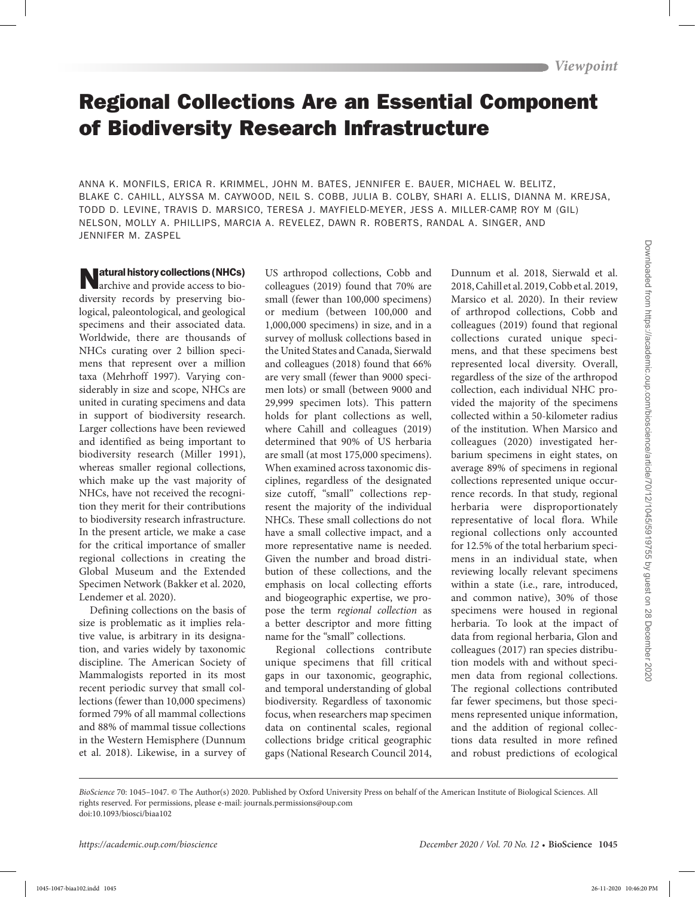## Regional Collections Are an Essential Component of Biodiversity Research Infrastructure

ANNA K. MONFILS, ERICA R. KRIMMEL, JOHN M. BATES, JENNIFER E. BAUER, MICHAEL W. BELITZ, BLAKE C. CAHILL, ALYSSA M. CAYWOOD, NEIL S. COBB, JULIA B. COLBY, SHARI A. ELLIS, DIANNA M. KREJSA, TODD D. LEVINE, TRAVIS D. MARSICO, TERESA J. MAYFIELD-MEYER, JESS A. MILLER-CAMP, ROY M (GIL) NELSON, MOLLY A. PHILLIPS, MARCIA A. REVELEZ, DAWN R. ROBERTS, RANDAL A. SINGER, AND JENNIFER M. ZASPEL

Matural history collections (NHCs)<br>archive and provide access to biodiversity records by preserving biological, paleontological, and geological specimens and their associated data. Worldwide, there are thousands of NHCs curating over 2 billion specimens that represent over a million taxa (Mehrhoff 1997). Varying considerably in size and scope, NHCs are united in curating specimens and data in support of biodiversity research. Larger collections have been reviewed and identified as being important to biodiversity research (Miller 1991), whereas smaller regional collections, which make up the vast majority of NHCs, have not received the recognition they merit for their contributions to biodiversity research infrastructure. In the present article, we make a case for the critical importance of smaller regional collections in creating the Global Museum and the Extended Specimen Network (Bakker et al. 2020, Lendemer et al. 2020).

Defining collections on the basis of size is problematic as it implies relative value, is arbitrary in its designation, and varies widely by taxonomic discipline. The American Society of Mammalogists reported in its most recent periodic survey that small collections (fewer than 10,000 specimens) formed 79% of all mammal collections and 88% of mammal tissue collections in the Western Hemisphere (Dunnum et al. 2018). Likewise, in a survey of

US arthropod collections, Cobb and colleagues (2019) found that 70% are small (fewer than 100,000 specimens) or medium (between 100,000 and 1,000,000 specimens) in size, and in a survey of mollusk collections based in the United States and Canada, Sierwald and colleagues (2018) found that 66% are very small (fewer than 9000 specimen lots) or small (between 9000 and 29,999 specimen lots). This pattern holds for plant collections as well, where Cahill and colleagues (2019) determined that 90% of US herbaria are small (at most 175,000 specimens). When examined across taxonomic disciplines, regardless of the designated size cutoff, "small" collections represent the majority of the individual NHCs. These small collections do not have a small collective impact, and a more representative name is needed. Given the number and broad distribution of these collections, and the emphasis on local collecting efforts and biogeographic expertise, we propose the term *regional collection* as a better descriptor and more fitting name for the "small" collections.

Regional collections contribute unique specimens that fill critical gaps in our taxonomic, geographic, and temporal understanding of global biodiversity. Regardless of taxonomic focus, when researchers map specimen data on continental scales, regional collections bridge critical geographic gaps (National Research Council 2014,

Dunnum et al. 2018, Sierwald et al. 2018, Cahill et al. 2019, Cobb et al. 2019, Marsico et al. 2020). In their review of arthropod collections, Cobb and colleagues (2019) found that regional collections curated unique specimens, and that these specimens best represented local diversity. Overall, regardless of the size of the arthropod collection, each individual NHC provided the majority of the specimens collected within a 50-kilometer radius of the institution. When Marsico and colleagues (2020) investigated herbarium specimens in eight states, on average 89% of specimens in regional collections represented unique occurrence records. In that study, regional herbaria were disproportionately representative of local flora. While regional collections only accounted for 12.5% of the total herbarium specimens in an individual state, when reviewing locally relevant specimens within a state (i.e., rare, introduced, and common native), 30% of those specimens were housed in regional herbaria. To look at the impact of data from regional herbaria, Glon and colleagues (2017) ran species distribution models with and without specimen data from regional collections. The regional collections contributed far fewer specimens, but those specimens represented unique information, and the addition of regional collections data resulted in more refined and robust predictions of ecological **Murallelatory collections (WHS)** US extrapped collections (Neb and Universal and 2013 collections Collections Collections (Neb and 2013 collections Collections Collections Collections (Neb and 2013 collections Collection

*BioScience* 70: 1045–1047. © The Author(s) 2020. Published by Oxford University Press on behalf of the American Institute of Biological Sciences. All rights reserved. For permissions, please e-mail: journals.permissions@oup.com doi:10.1093/biosci/biaa102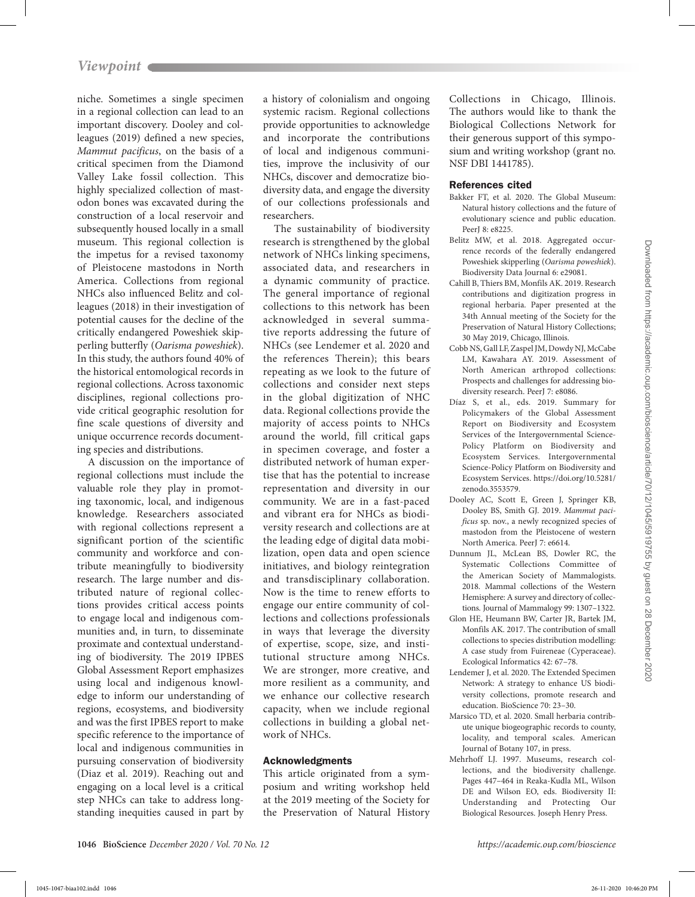niche. Sometimes a single specimen in a regional collection can lead to an important discovery. Dooley and colleagues (2019) defined a new species, *Mammut pacificus*, on the basis of a critical specimen from the Diamond Valley Lake fossil collection. This highly specialized collection of mastodon bones was excavated during the construction of a local reservoir and subsequently housed locally in a small museum. This regional collection is the impetus for a revised taxonomy of Pleistocene mastodons in North America. Collections from regional NHCs also influenced Belitz and colleagues (2018) in their investigation of potential causes for the decline of the critically endangered Poweshiek skipperling butterfly (*Oarisma poweshiek*). In this study, the authors found 40% of the historical entomological records in regional collections. Across taxonomic disciplines, regional collections provide critical geographic resolution for fine scale questions of diversity and unique occurrence records documenting species and distributions.

A discussion on the importance of regional collections must include the valuable role they play in promoting taxonomic, local, and indigenous knowledge. Researchers associated with regional collections represent a significant portion of the scientific community and workforce and contribute meaningfully to biodiversity research. The large number and distributed nature of regional collections provides critical access points to engage local and indigenous communities and, in turn, to disseminate proximate and contextual understanding of biodiversity. The 2019 IPBES Global Assessment Report emphasizes using local and indigenous knowledge to inform our understanding of regions, ecosystems, and biodiversity and was the first IPBES report to make specific reference to the importance of local and indigenous communities in pursuing conservation of biodiversity (Diaz et al. 2019). Reaching out and engaging on a local level is a critical step NHCs can take to address longstanding inequities caused in part by

a history of colonialism and ongoing systemic racism. Regional collections provide opportunities to acknowledge and incorporate the contributions of local and indigenous communities, improve the inclusivity of our NHCs, discover and democratize biodiversity data, and engage the diversity of our collections professionals and researchers.

The sustainability of biodiversity research is strengthened by the global network of NHCs linking specimens, associated data, and researchers in a dynamic community of practice. The general importance of regional collections to this network has been acknowledged in several summative reports addressing the future of NHCs (see Lendemer et al. 2020 and the references Therein); this bears repeating as we look to the future of collections and consider next steps in the global digitization of NHC data. Regional collections provide the majority of access points to NHCs around the world, fill critical gaps in specimen coverage, and foster a distributed network of human expertise that has the potential to increase representation and diversity in our community. We are in a fast-paced and vibrant era for NHCs as biodiversity research and collections are at the leading edge of digital data mobilization, open data and open science initiatives, and biology reintegration and transdisciplinary collaboration. Now is the time to renew efforts to engage our entire community of collections and collections professionals in ways that leverage the diversity of expertise, scope, size, and institutional structure among NHCs. We are stronger, more creative, and more resilient as a community, and we enhance our collective research capacity, when we include regional collections in building a global network of NHCs. 10046-1047-biaan method into the property of the control of the control of the control of the control of the control of the control of the control of the control of the control of the control of the control of the contro

## Acknowledgments

This article originated from a symposium and writing workshop held at the 2019 meeting of the Society for the Preservation of Natural History Collections in Chicago, Illinois. The authors would like to thank the Biological Collections Network for their generous support of this symposium and writing workshop (grant no. NSF DBI 1441785).

## References cited

- Bakker FT, et al. 2020. The Global Museum: Natural history collections and the future of evolutionary science and public education. PeerL $8: e8225$
- Belitz MW, et al. 2018. Aggregated occurrence records of the federally endangered Poweshiek skipperling (*Oarisma poweshiek*). Biodiversity Data Journal 6: e29081.
- Cahill B, Thiers BM, Monfils AK. 2019. Research contributions and digitization progress in regional herbaria. Paper presented at the 34th Annual meeting of the Society for the Preservation of Natural History Collections; 30 May 2019, Chicago, Illinois.
- Cobb NS, Gall LF, Zaspel JM, Dowdy NJ, McCabe LM, Kawahara AY. 2019. Assessment of North American arthropod collections: Prospects and challenges for addressing biodiversity research. PeerJ 7: e8086.
- Díaz S, et al., eds. 2019. Summary for Policymakers of the Global Assessment Report on Biodiversity and Ecosystem Services of the Intergovernmental Science-Policy Platform on Biodiversity and Ecosystem Services. Intergovernmental Science-Policy Platform on Biodiversity and Ecosystem Services. https://doi.org/10.5281/ zenodo.3553579.
- Dooley AC, Scott E, Green J, Springer KB, Dooley BS, Smith GJ. 2019. *Mammut pacificus* sp. nov., a newly recognized species of mastodon from the Pleistocene of western North America. PeerI 7: e6614.
- Dunnum JL, McLean BS, Dowler RC, the Systematic Collections Committee of the American Society of Mammalogists. 2018. Mammal collections of the Western Hemisphere: A survey and directory of collections. Journal of Mammalogy 99: 1307–1322.
- Glon HE, Heumann BW, Carter JR, Bartek JM, Monfils AK. 2017. The contribution of small collections to species distribution modelling: A case study from Fuireneae (Cyperaceae). Ecological Informatics 42: 67–78.
- Lendemer J, et al. 2020. The Extended Specimen Network: A strategy to enhance US biodiversity collections, promote research and education. BioScience 70: 23–30.
- Marsico TD, et al. 2020. Small herbaria contribute unique biogeographic records to county, locality, and temporal scales. American Journal of Botany 107, in press.
- Mehrhoff LJ. 1997. Museums, research collections, and the biodiversity challenge. Pages 447–464 in Reaka-Kudla ML, Wilson DE and Wilson EO, eds. Biodiversity II: Understanding and Protecting Our Biological Resources. Joseph Henry Press.